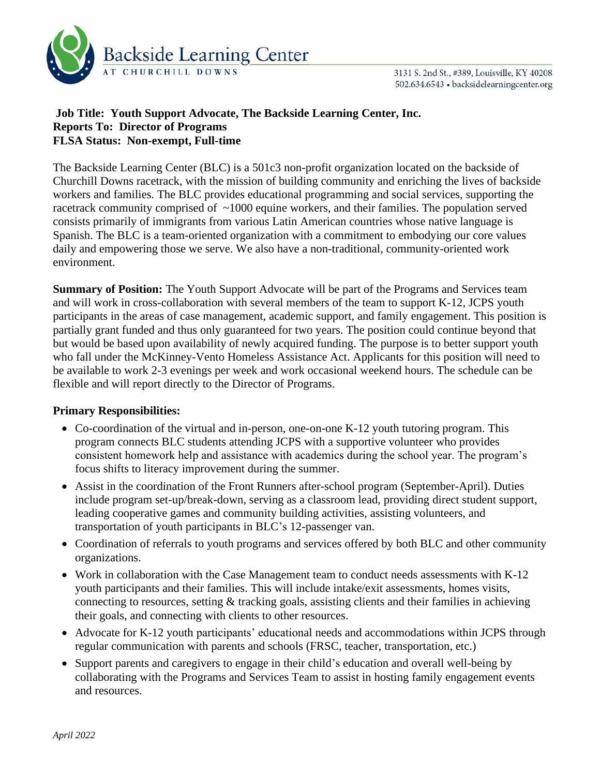

3131 S. 2nd St., #389, Louisville, KY 40208 502.634.6543 · backsidelearningcenter.org

# **Job Title: Youth Support Advocate, The Backside Learning Center, Inc. Reports To: Director of Programs FLSA Status: Non-exempt, Full-time**

The Backside Learning Center (BLC) is a 501c3 non-profit organization located on the backside of Churchill Downs racetrack, with the mission of building community and enriching the lives of backside workers and families. The BLC provides educational programming and social services, supporting the racetrack community comprised of  $\sim$ 1000 equine workers, and their families. The population served consists primarily of immigrants from various Latin American countries whose native language is Spanish. The BLC is a team-oriented organization with a commitment to embodying our core values daily and empowering those we serve. We also have a non-traditional, community-oriented work environment.

**Summary of Position:** The Youth Support Advocate will be part of the Programs and Services team and will work in cross-collaboration with several members of the team to support K-12, JCPS youth participants in the areas of case management, academic support, and family engagement. This position is partially grant funded and thus only guaranteed for two years. The position could continue beyond that but would be based upon availability of newly acquired funding. The purpose is to better support youth who fall under the McKinney-Vento Homeless Assistance Act. Applicants for this position will need to be available to work 2-3 evenings per week and work occasional weekend hours. The schedule can be flexible and will report directly to the Director of Programs.

# **Primary Responsibilities:**

- Co-coordination of the virtual and in-person, one-on-one K-12 youth tutoring program. This program connects BLC students attending JCPS with a supportive volunteer who provides consistent homework help and assistance with academics during the school year. The program's focus shifts to literacy improvement during the summer.
- Assist in the coordination of the Front Runners after-school program (September-April). Duties include program set-up/break-down, serving as a classroom lead, providing direct student support, leading cooperative games and community building activities, assisting volunteers, and transportation of youth participants in BLC's 12-passenger van.
- Coordination of referrals to youth programs and services offered by both BLC and other community organizations.
- Work in collaboration with the Case Management team to conduct needs assessments with K-12 youth participants and their families. This will include intake/exit assessments, homes visits, connecting to resources, setting & tracking goals, assisting clients and their families in achieving their goals, and connecting with clients to other resources.
- Advocate for K-12 youth participants' educational needs and accommodations within JCPS through regular communication with parents and schools (FRSC, teacher, transportation, etc.)
- Support parents and caregivers to engage in their child's education and overall well-being by collaborating with the Programs and Services Team to assist in hosting family engagement events and resources.